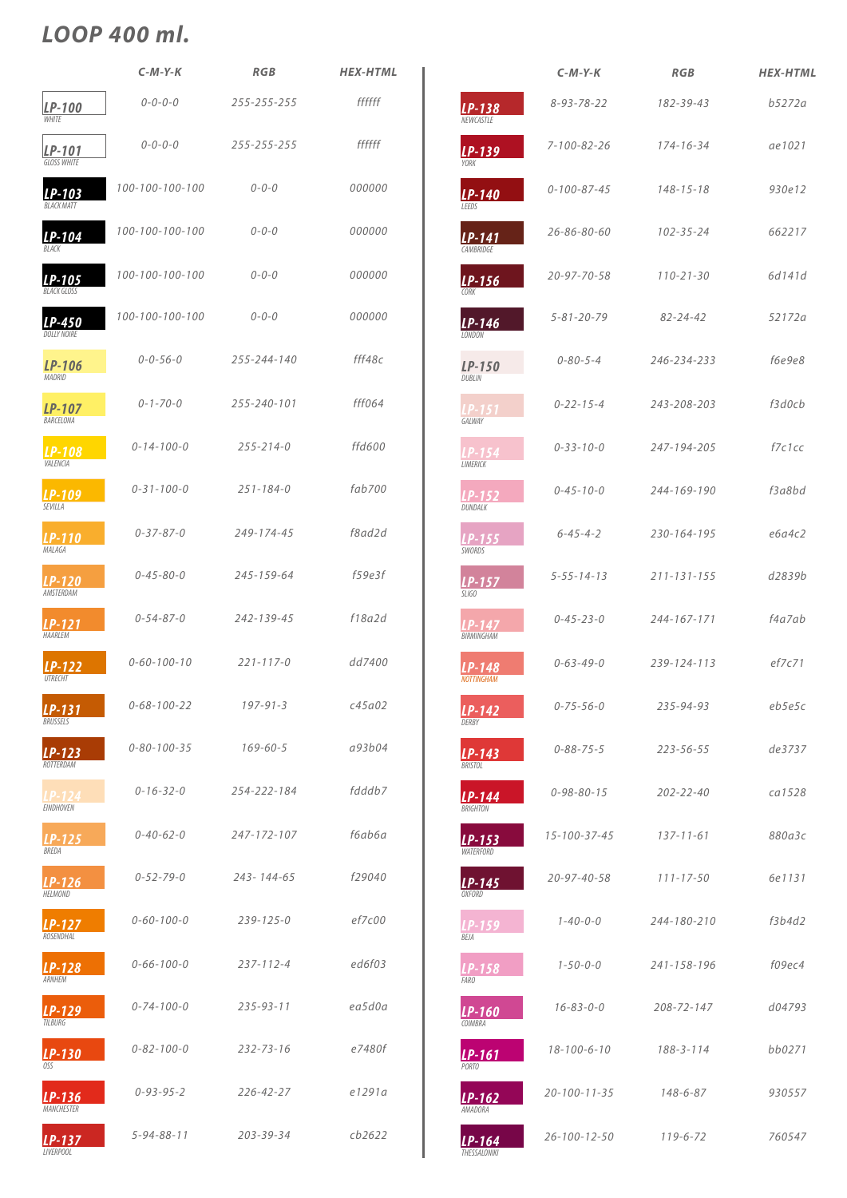|                                     | $C-M-Y-K$           | <b>RGB</b>       | <b>HEX-HTML</b> |
|-------------------------------------|---------------------|------------------|-----------------|
| LP-100<br><b>WHITE</b>              | $0 - 0 - 0 - 0$     | 255-255-255      | ffffff          |
| LP-101<br><b>GLOSS WHITE</b>        | $0 - 0 - 0 - 0$     | 255-255-255      | ffffff          |
| $LP-103$<br><b>BI ACK MATT</b>      | 100-100-100-100     | $0 - 0 - 0$      | 000000          |
| LP-104<br><b>BIACK</b>              | 100-100-100-100     | $0 - 0 - 0$      | 000000          |
| <b>LP-105</b><br><b>BLACK GLOSS</b> | 100-100-100-100     | $0 - 0 - 0$      | 000000          |
| LP-450<br><b>DOLLY NOIRE</b>        | 100-100-100-100     | $0 - 0 - 0$      | 000000          |
| LP-106<br>MADRID                    | $0 - 0 - 56 - 0$    | 255-244-140      | fff48c          |
| LP-107<br>BARCELONA                 | $0 - 1 - 70 - 0$    | 255-240-101      | fff064          |
| <b>LP-108</b><br>VALENCIA           | $0 - 14 - 100 - 0$  | $255 - 214 - 0$  | ffd600          |
| LP-109<br><b>SFVIIIA</b>            | $0 - 31 - 100 - 0$  | $251 - 184 - 0$  | fab700          |
| <b>LP-110</b><br>MALAGA             | $0 - 37 - 87 - 0$   | 249-174-45       | f8ad2d          |
| <b>LP-120</b><br>AMSTERDAM          | $0 - 45 - 80 - 0$   | 245-159-64       | f59e3f          |
| $LP-121$<br>HAARLEM                 | $0 - 54 - 87 - 0$   | 242-139-45       | f18a2d          |
| $LP-122$<br><b>UTRFCHT</b>          | $0 - 60 - 100 - 10$ | $221 - 117 - 0$  | dd7400          |
| $LP-131$<br><b>BRUSSELS</b>         | $0 - 68 - 100 - 22$ | $197 - 91 - 3$   | c45a02          |
| LP-123<br>ROTTERDAM                 | $0 - 80 - 100 - 35$ | $169 - 60 - 5$   | a93b04          |
| LP-124<br><b>EINDHOVEN</b>          | $0 - 16 - 32 - 0$   | 254-222-184      | fdddb7          |
| LP-125<br>BREDA                     | $0 - 40 - 62 - 0$   | 247-172-107      | f6ab6a          |
| LP-126                              | $0 - 52 - 79 - 0$   | $243 - 144 - 65$ | f29040          |

*HELMOND*

|                               | $C-M-Y-K$            | <b>RGB</b>        | <b>HEX-HTML</b> |
|-------------------------------|----------------------|-------------------|-----------------|
| $LP-138$<br><b>NEWCASTLE</b>  | $8 - 93 - 78 - 22$   | 182-39-43         | b5272a          |
| LP-139<br>YORK                | $7 - 100 - 82 - 26$  | $174 - 16 - 34$   | ae1021          |
| $LP-140$<br>LEEDS             | $0 - 100 - 87 - 45$  | $148 - 15 - 18$   | 930e12          |
| $LP-141$<br>CAMBRIDGE         | $26 - 86 - 80 - 60$  | $102 - 35 - 24$   | 662217          |
| LP-156<br>CORK                | $20 - 97 - 70 - 58$  | $110 - 21 - 30$   | 6d141d          |
| $LP-146$<br><b>IONDON</b>     | $5 - 81 - 20 - 79$   | $82 - 24 - 42$    | 52172a          |
| LP-150<br>DUBLIN              | $0 - 80 - 5 - 4$     | 246-234-233       | f6e9e8          |
| P-151<br>GALWAY               | $0 - 22 - 15 - 4$    | 243-208-203       | f3d0cb          |
| P-154<br>LIMERICK             | $0 - 33 - 10 - 0$    | 247-194-205       | f7c1cc          |
| LP-152<br>DUNDALK             | $0 - 45 - 10 - 0$    | 244-169-190       | f3a8bd          |
| $LP-155$<br>SWORDS            | $6 - 45 - 4 - 2$     | 230-164-195       | e6a4c2          |
| $LP-157$<br>SLIGO             | $5 - 55 - 14 - 13$   | $211 - 131 - 155$ | d2839b          |
| $LP-147$<br>BIRMINGHAM        | $0 - 45 - 23 - 0$    | 244-167-171       | f4a7ab          |
| $LP-148$<br><b>NOTTINGHAM</b> | $0 - 63 - 49 - 0$    | 239-124-113       | ef7c71          |
| LP-142<br>DERBY               | $0 - 75 - 56 - 0$    | 235-94-93         | eb5e5c          |
| $LP-143$<br><b>BRISTOL</b>    | $0 - 88 - 75 - 5$    | $223 - 56 - 55$   | de3737          |
| $LP-144$<br><b>BRIGHTON</b>   | $0 - 98 - 80 - 15$   | $202 - 22 - 40$   | ca1528          |
| $LP-153$<br><b>WATERFORD</b>  | $15 - 100 - 37 - 45$ | $137 - 11 - 61$   | 880a3c          |
| $LP-145$<br><b>OXFORD</b>     | $20 - 97 - 40 - 58$  | $111 - 17 - 50$   | 6e1131          |

| $LP-127$<br>ROSENDHAL         | $0 - 60 - 100 - 0$ | $239 - 125 - 0$ | ef7c00 | $LP-159$<br>BEJA         | $1 - 40 - 0 - 0$     | 244-180-210     | f3b4d2 |
|-------------------------------|--------------------|-----------------|--------|--------------------------|----------------------|-----------------|--------|
| $LP-128$<br>ARNHEM            | $0 - 66 - 100 - 0$ | $237 - 112 - 4$ | ed6f03 | $LP-158$<br><b>FARO</b>  | $1 - 50 - 0 - 0$     | 241-158-196     | f09ec4 |
| $LP-129$<br>TILBURG           | $0 - 74 - 100 - 0$ | $235 - 93 - 11$ | ea5d0a | $LP-160$<br>COIMBRA      | $16 - 83 - 0 - 0$    | 208-72-147      | d04793 |
| LP-130<br>OSS                 | $0 - 82 - 100 - 0$ | $232 - 73 - 16$ | e7480f | $LP-161$<br>PORTO        | $18 - 100 - 6 - 10$  | $188 - 3 - 114$ | bb0271 |
| $LP-136$<br><b>MANCHESTER</b> | $0 - 93 - 95 - 2$  | $226 - 42 - 27$ | e1291a | $LP-162$<br>AMADORA      | $20 - 100 - 11 - 35$ | 148-6-87        | 930557 |
| $LP-137$<br><b>LIVERPOOL</b>  | $5 - 94 - 88 - 11$ | 203-39-34       | cb2622 | $LP-164$<br>THESSALONIKI | $26 - 100 - 12 - 50$ | $119 - 6 - 72$  | 760547 |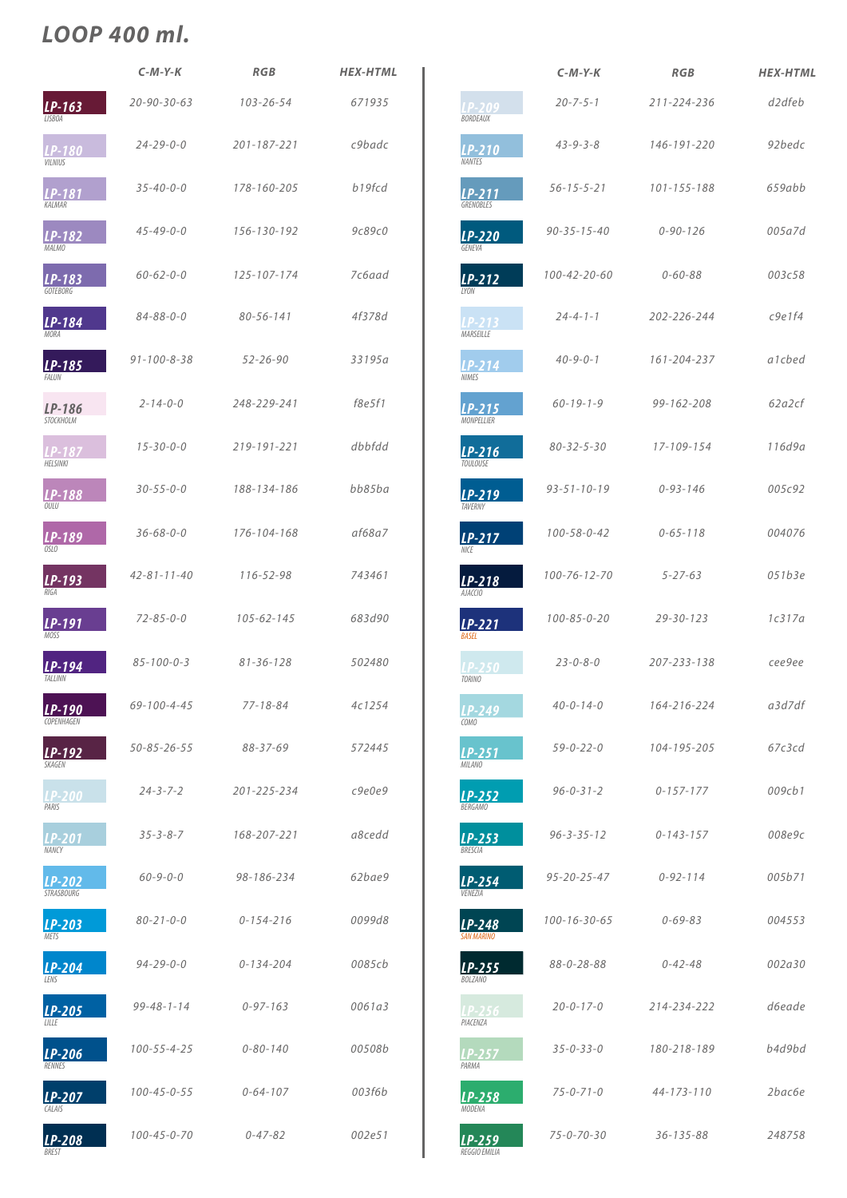|                                    | $C-M-Y-K$           | <b>RGB</b>        | <b>HEX-HTML</b> |
|------------------------------------|---------------------|-------------------|-----------------|
| LP-163<br><b>LISBOA</b>            | $20 - 90 - 30 - 63$ | $103 - 26 - 54$   | 671935          |
| <b>LP-180</b><br><b>VILNIUS</b>    | $24 - 29 - 0 - 0$   | $201 - 187 - 221$ | c9badc          |
| LP-181<br>KALMAR                   | $35 - 40 - 0 - 0$   | 178-160-205       | b19fcd          |
| LP-182<br><b>MALMO</b>             | $45 - 49 - 0 - 0$   | 156-130-192       | 9c89c0          |
| $LP-183$<br><b>GOTFRORG</b>        | $60 - 62 - 0 - 0$   | 125-107-174       | 7c6aad          |
| $LP-184$<br><b>MORA</b>            | $84 - 88 - 0 - 0$   | $80 - 56 - 141$   | 4f378d          |
| LP-185<br><b>FAILIN</b>            | $91 - 100 - 8 - 38$ | $52 - 26 - 90$    | 33195a          |
| LP-186<br><b>STOCKHOLM</b>         | $2 - 14 - 0 - 0$    | 248-229-241       | f8e5f1          |
| LP-187<br><b>HELSINKI</b>          | $15 - 30 - 0 - 0$   | 219-191-221       | dbbfdd          |
| P-188<br>OULU                      | $30 - 55 - 0 - 0$   | 188-134-186       | bb85ba          |
| <b>LP-189</b><br>OSIO              | $36 - 68 - 0 - 0$   | 176-104-168       | af68a7          |
| LP-193<br>RIGA                     | $42 - 81 - 11 - 40$ | 116-52-98         | 743461          |
| LP-191<br><b>MOSS</b>              | $72 - 85 - 0 - 0$   | $105 - 62 - 145$  | 683d90          |
| LP-194<br><b>TAI I INN</b>         | $85 - 100 - 0 - 3$  | $81 - 36 - 128$   | 502480          |
| LP-190<br>COPFNHAGFN               | 69-100-4-45         | $77 - 18 - 84$    | 4c1254          |
| LP-192<br><b>SKAGFN</b>            | $50 - 85 - 26 - 55$ | 88-37-69          | 572445          |
| <b>LP-200</b><br>PARIS             | $24 - 3 - 7 - 2$    | 201-225-234       | c9e0e9          |
| <b>LP-201</b><br>NANCY             | $35 - 3 - 8 - 7$    | 168-207-221       | a8cedd          |
| <b>LP-202</b><br><b>STRASBOURG</b> | $60 - 9 - 0 - 0$    | 98-186-234        | 62bae9          |

|                                 | $C-M-Y-K$            | <b>RGB</b>      | <b>HEX-HTML</b> |
|---------------------------------|----------------------|-----------------|-----------------|
| LP-209<br>BORDEAUX              | $20 - 7 - 5 - 1$     | 211-224-236     | d2dfeb          |
| $LP-210$<br><b>NANTES</b>       | $43 - 9 - 3 - 8$     | 146-191-220     | 92bedc          |
| $LP-211$<br><b>GRENOBLES</b>    | $56 - 15 - 5 - 21$   | 101-155-188     | 659abb          |
| LP-220<br>GENEVA                | $90 - 35 - 15 - 40$  | $0 - 90 - 126$  | 005a7d          |
| $LP-212$<br><b>IYON</b>         | 100-42-20-60         | $0 - 60 - 88$   | 003c58          |
| LP-213<br><b>MARSFILLE</b>      | $24 - 4 - 1 - 1$     | 202-226-244     | c9e1f4          |
| $LP-214$<br><b>NIMES</b>        | $40 - 9 - 0 - 1$     | 161-204-237     | a1cbed          |
| $LP-215$<br><b>MONPELLIER</b>   | $60 - 19 - 1 - 9$    | 99-162-208      | 62a2cf          |
| $LP-216$<br><b>TOUIOUSE</b>     | $80 - 32 - 5 - 30$   | 17-109-154      | 116d9a          |
| <b>LP-219</b><br><b>TAVFRNY</b> | $93 - 51 - 10 - 19$  | $0 - 93 - 146$  | 005c92          |
| $LP-217$<br><b>NICF</b>         | $100 - 58 - 0 - 42$  | $0 - 65 - 118$  | 004076          |
| $LP-218$<br>AJACCIO             | $100 - 76 - 12 - 70$ | $5 - 27 - 63$   | 051b3e          |
| $LP-221$<br><b>BASFI</b>        | $100 - 85 - 0 - 20$  | $29 - 30 - 123$ | 1c317a          |
| <b>LP-250</b><br><b>TORINO</b>  | $23 - 0 - 8 - 0$     | 207-233-138     | cee9ee          |
| LP-249<br>COMO                  | $40 - 0 - 14 - 0$    | 164-216-224     | a3d7df          |
| <b>LP-251</b><br><b>MILANO</b>  | $59 - 0 - 22 - 0$    | 104-195-205     | 67c3cd          |
| $LP-252$<br><b>BERGAMO</b>      | $96 - 0 - 31 - 2$    | $0 - 157 - 177$ | 009cb1          |
| $LP-253$<br><b>RRFSCIA</b>      | $96 - 3 - 35 - 12$   | $0 - 143 - 157$ | 008e9c          |
| $LP-254$<br>VENEZIA             | $95 - 20 - 25 - 47$  | $0 - 92 - 114$  | 005b71          |

004553

002a30

d6eade

b4d9bd

 $2bac6e$ 

248758

| LP-203<br>METS        | $80 - 21 - 0 - 0$   | $0 - 154 - 216$ | 0099d8 | $LP-248$<br><b>SAN MARINO</b> | $100 - 16 - 30 - 65$ | $0 - 69 - 83$    |
|-----------------------|---------------------|-----------------|--------|-------------------------------|----------------------|------------------|
| <b>LP-204</b><br>LENS | $94 - 29 - 0 - 0$   | $0 - 134 - 204$ | 0085cb | $LP-255$<br><b>BOLZANO</b>    | $88 - 0 - 28 - 88$   | $0 - 42 - 48$    |
| LP-205<br>IIIIF       | $99 - 48 - 1 - 14$  | $0 - 97 - 163$  | 0061a3 | $LP-256$<br>PIACENZA          | $20 - 0 - 17 - 0$    | 214-234-222      |
| $LP-206$<br>RENNES    | $100 - 55 - 4 - 25$ | $0 - 80 - 140$  | 00508b | $LP-257$<br>PARMA             | $35 - 0 - 33 - 0$    | 180-218-189      |
| LP-207<br>CALAIS      | $100 - 45 - 0 - 55$ | $0 - 64 - 107$  | 003f6b | LP-258<br>MODENA              | $75 - 0 - 71 - 0$    | $44 - 173 - 110$ |
| LP-208<br>BREST       | $100 - 45 - 0 - 70$ | $0 - 47 - 82$   | 002e51 | $LP-259$<br>REGGIO EMILIA     | $75 - 0 - 70 - 30$   | $36 - 135 - 88$  |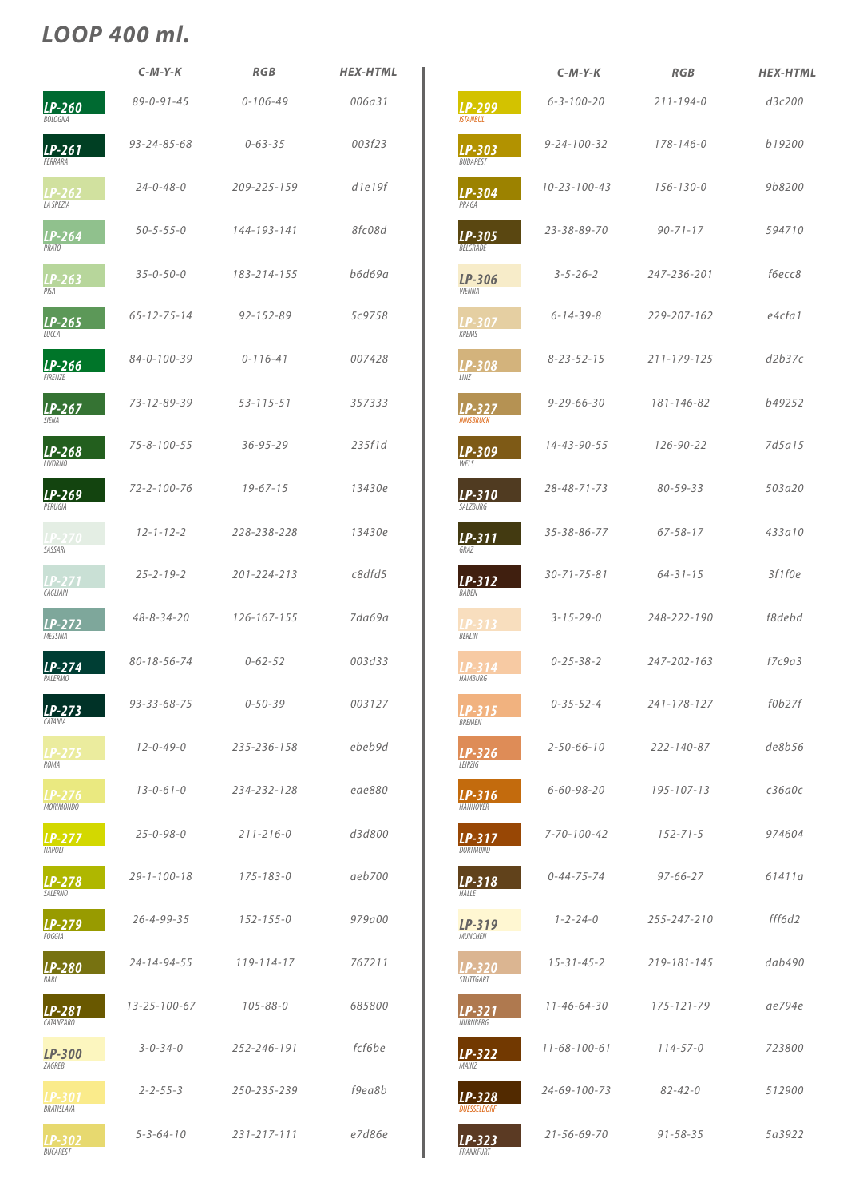|                              | $C-M-Y-K$           | <b>RGB</b>        | <b>HEX-HTML</b> |
|------------------------------|---------------------|-------------------|-----------------|
| LP-260<br><b>BOLOGNA</b>     | $89 - 0 - 91 - 45$  | $0 - 106 - 49$    | 006a31          |
| $LP-261$<br>FFRRARA          | $93 - 24 - 85 - 68$ | $0 - 63 - 35$     | 003f23          |
| LP-262<br><b>LA SPEZIA</b>   | $24 - 0 - 48 - 0$   | 209-225-159       | d1e19f          |
| $LP-264$<br>PRATO            | $50 - 5 - 55 - 0$   | 144-193-141       | 8fc08d          |
| LP-263<br>PISA               | $35 - 0 - 50 - 0$   | 183-214-155       | <b>b6d69a</b>   |
| LP-265<br>LUCCA              | $65 - 12 - 75 - 14$ | $92 - 152 - 89$   | 5c9758          |
| LP-266<br><b>FIRFN7F</b>     | $84 - 0 - 100 - 39$ | $0 - 116 - 41$    | 007428          |
| LP-267<br><b>SIENA</b>       | $73 - 12 - 89 - 39$ | $53 - 115 - 51$   | 357333          |
| $LP-268$<br><b>LIVORNO</b>   | $75 - 8 - 100 - 55$ | $36 - 95 - 29$    | 235f1d          |
| LP-269<br>PERUGIA            | $72 - 2 - 100 - 76$ | $19 - 67 - 15$    | 13430e          |
| <b>LP-270</b><br>SASSARI     | $12 - 1 - 12 - 2$   | 228-238-228       | 13430e          |
| LP-271<br>CAGLIARI           | $25 - 2 - 19 - 2$   | $201 - 224 - 213$ | c8dfd5          |
| $LP-272$<br>MESSINA          | $48 - 8 - 34 - 20$  | $126 - 167 - 155$ | 7da69a          |
| $LP-274$<br>PAI FRMO         | $80 - 18 - 56 - 74$ | $0 - 62 - 52$     | 003d33          |
| $LP-273$<br><b>CATANIA</b>   | $93 - 33 - 68 - 75$ | $0 - 50 - 39$     | 003127          |
| <u>LP-275</u><br><b>ROMA</b> | $12 - 0 - 49 - 0$   | 235-236-158       | ebeb9d          |
| LP-276<br><b>MORIMONDO</b>   | $13 - 0 - 61 - 0$   | 234-232-128       | eae880          |
| LP-277<br>NAPOLI             | $25 - 0 - 98 - 0$   | $211 - 216 - 0$   | d3d800          |
| LP-278<br><b>SALERNO</b>     | $29 - 1 - 100 - 18$ | $175 - 183 - 0$   | aeb700          |

|                              | $C-M-Y-K$            | <b>RGB</b>        | <b>HEX-HTML</b> |
|------------------------------|----------------------|-------------------|-----------------|
| LP-299<br><b>ISTANBUL</b>    | $6 - 3 - 100 - 20$   | $211 - 194 - 0$   | d3c200          |
| LP-303<br><b>BUDAPEST</b>    | $9 - 24 - 100 - 32$  | $178 - 146 - 0$   | b19200          |
| $LP-304$<br>PRAGA            | $10 - 23 - 100 - 43$ | $156 - 130 - 0$   | 9b8200          |
| LP-305<br>BELGRADE           | 23-38-89-70          | $90 - 71 - 17$    | 594710          |
| LP-306<br><b>VIENNA</b>      | $3 - 5 - 26 - 2$     | 247-236-201       | f6ecc8          |
| LP-307<br><b>KREMS</b>       | $6 - 14 - 39 - 8$    | 229-207-162       | e4cfa1          |
| LP-308<br>LINZ               | $8 - 23 - 52 - 15$   | $211 - 179 - 125$ | d2b37c          |
| $LP-327$<br><b>INNSBRUCK</b> | $9 - 29 - 66 - 30$   | $181 - 146 - 82$  | b49252          |
| LP-309<br>WFIS               | $14 - 43 - 90 - 55$  | $126 - 90 - 22$   | 7d5a15          |
| $LP-310$<br>SALZBURG         | $28 - 48 - 71 - 73$  | $80 - 59 - 33$    | 503a20          |
| $LP-311$<br>GRA7             | 35-38-86-77          | $67 - 58 - 17$    | 433a10          |
| $LP-312$<br>BADEN            | $30 - 71 - 75 - 81$  | $64 - 31 - 15$    | 3f1f0e          |
| LP-313<br><b>BFRIIN</b>      | $3 - 15 - 29 - 0$    | 248-222-190       | f8debd          |
| LP-314<br><b>HAMBURG</b>     | $0 - 25 - 38 - 2$    | 247-202-163       | f7c9a3          |
| $LP-315$<br><b>BREMEN</b>    | $0 - 35 - 52 - 4$    | 241-178-127       | f0b27f          |
| $LP-326$<br>LEIPZIG          | $2 - 50 - 66 - 10$   | $222 - 140 - 87$  | de8b56          |
| $LP-316$<br><b>HANNOVER</b>  | $6 - 60 - 98 - 20$   | $195 - 107 - 13$  | c36a0c          |
| $LP-317$<br><b>DORTMUND</b>  | $7 - 70 - 100 - 42$  | $152 - 71 - 5$    | 974604          |
| $LP-318$<br>HALLE            | $0 - 44 - 75 - 74$   | $97 - 66 - 27$    | 61411a          |

| LP-279<br>FOGGIA          | $26 - 4 - 99 - 35$   | $152 - 155 - 0$   | 979a00 | $LP-319$<br><b>MUNCHEN</b>     | $1 - 2 - 24 - 0$     | 255-247-210    | fff6d2 |
|---------------------------|----------------------|-------------------|--------|--------------------------------|----------------------|----------------|--------|
| LP-280<br>BARI            | $24 - 14 - 94 - 55$  | $119 - 114 - 17$  | 767211 | <b>LP-320</b><br>STUTTGART     | $15 - 31 - 45 - 2$   | 219-181-145    | dab490 |
| LP-281<br>CATANZARO       | $13 - 25 - 100 - 67$ | $105 - 88 - 0$    | 685800 | LP-321<br>NURNBERG             | $11 - 46 - 64 - 30$  | 175-121-79     | ae794e |
| LP-300<br>ZAGREB          | $3 - 0 - 34 - 0$     | 252-246-191       | fcf6be | $LP-322$<br>MAINZ              | $11 - 68 - 100 - 61$ | $114 - 57 - 0$ | 723800 |
| LP-301<br>BRATISLAVA      | $2 - 2 - 55 - 3$     | 250-235-239       | f9ea8b | $LP-328$<br><b>DUESSELDORF</b> | $24 - 69 - 100 - 73$ | $82 - 42 - 0$  | 512900 |
| LP-302<br><i>BUCAREST</i> | $5 - 3 - 64 - 10$    | $231 - 217 - 111$ | e7d86e | $LP-323$<br>FRANKFURT          | $21 - 56 - 69 - 70$  | $91 - 58 - 35$ | 5a3922 |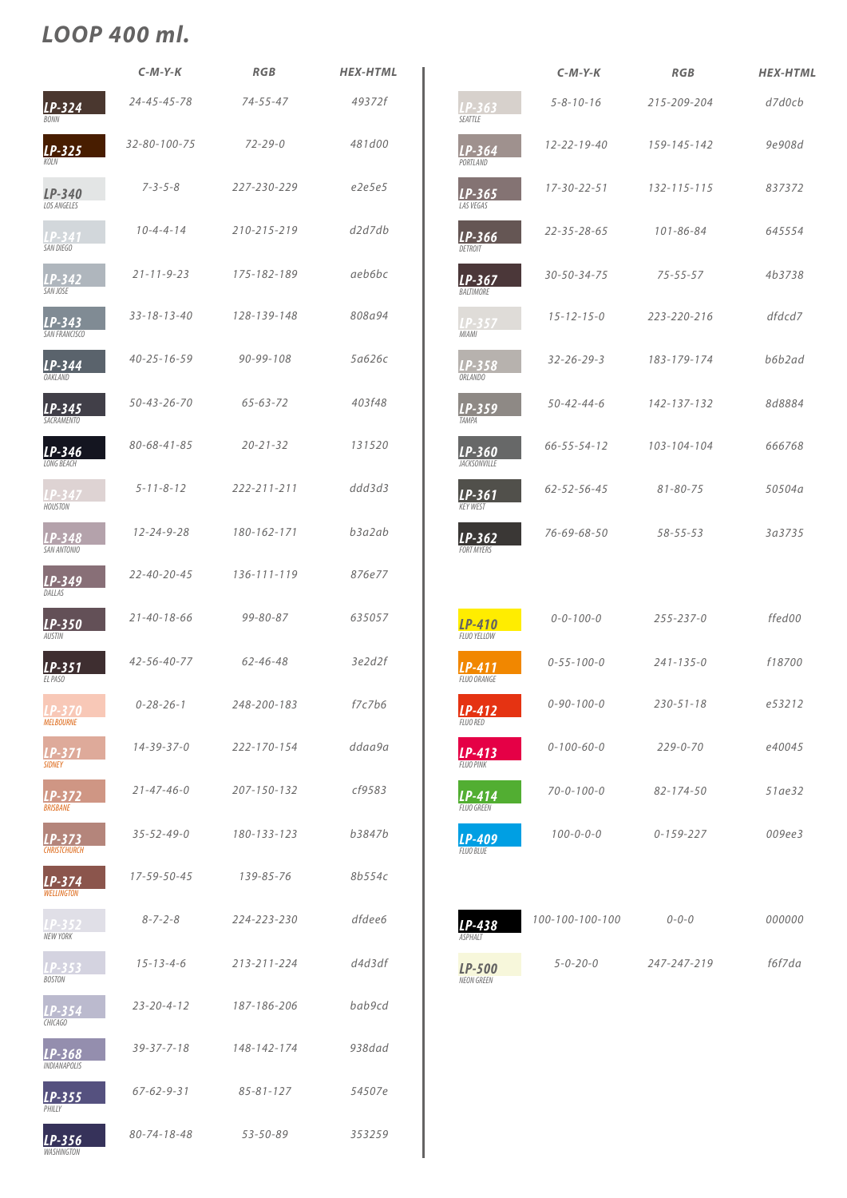|                                   | $C-M-Y-K$            | <b>RGB</b>        | <b>HEX-HTML</b>   |
|-----------------------------------|----------------------|-------------------|-------------------|
| $LP-324$<br><b>BONN</b>           | $24 - 45 - 45 - 78$  | $74 - 55 - 47$    | 49372f            |
| $LP-325$<br>KOI N                 | $32 - 80 - 100 - 75$ | $72 - 29 - 0$     | 481d00            |
| $LP-340$<br><b>LOS ANGELES</b>    | $7 - 3 - 5 - 8$      | 227-230-229       | e2e5e5            |
| LP-341<br>SAN DIEGO               | $10 - 4 - 4 - 14$    | 210-215-219       | d2d7db            |
| LP-342<br>SAN JOSE                | $21 - 11 - 9 - 23$   | 175-182-189       | aeb6bc            |
| LP-343<br>SAN FRANCISCO           | $33 - 18 - 13 - 40$  | 128-139-148       | 808a94            |
| $LP-344$<br><b>OAKLAND</b>        | $40 - 25 - 16 - 59$  | $90 - 99 - 108$   | 5а626с            |
| $LP-345$<br><b>SACRAMENTO</b>     | $50 - 43 - 26 - 70$  | $65 - 63 - 72$    | 403f48            |
| LP-346<br><b>IONG BFACH</b>       | $80 - 68 - 41 - 85$  | $20 - 21 - 32$    | 131520            |
| <b>HOUSTON</b>                    | $5 - 11 - 8 - 12$    | $222 - 211 - 211$ | ddd3d3            |
| LP-348<br><b>SAN ANTONIO</b>      | $12 - 24 - 9 - 28$   | 180-162-171       | b3a2ab            |
| LP-349<br>DALLAS                  | $22 - 40 - 20 - 45$  | $136 - 111 - 119$ | 876e77            |
| LP-350<br><b>AUSTIN</b>           | $21 - 40 - 18 - 66$  | $99 - 80 - 87$    | 635057            |
| $LP-351$<br>EL PASO               | $42 - 56 - 40 - 77$  | $62 - 46 - 48$    | 3e2d2f            |
| <b>LP-370</b><br><b>MELBOURNE</b> | $0 - 28 - 26 - 1$    | 248-200-183       | $f$ 7 $c$ 7 $b$ 6 |
| LP-371<br><b>SIDNEY</b>           | $14 - 39 - 37 - 0$   | 222-170-154       | ddaa9a            |
| LP-372<br><b>BRISBANE</b>         | $21 - 47 - 46 - 0$   | 207-150-132       | cf9583            |
| LP-373<br><b>CHRISTCHURCH</b>     | $35 - 52 - 49 - 0$   | 180-133-123       | b3847b            |
| LP-374<br><b>WELLINGTON</b>       | 17-59-50-45          | 139-85-76         | 8b554c            |

|                                     | $C-M-Y-K$           | <b>RGB</b>        | <b>HEX-HTML</b> |
|-------------------------------------|---------------------|-------------------|-----------------|
| LP-363<br>SEATTLE                   | $5 - 8 - 10 - 16$   | 215-209-204       | d7d0cb          |
| $LP-364$<br><b>PORTLAND</b>         | $12 - 22 - 19 - 40$ | 159-145-142       | 9e908d          |
| $LP-365$<br><b>LAS VEGAS</b>        | $17 - 30 - 22 - 51$ | $132 - 115 - 115$ | 837372          |
| $LP-366$<br>DFTROIT                 | $22 - 35 - 28 - 65$ | $101 - 86 - 84$   | 645554          |
| $LP-367$<br><b>BALTIMORE</b>        | $30 - 50 - 34 - 75$ | $75 - 55 - 57$    | 4b3738          |
| LP-357<br><b>MIAMI</b>              | $15 - 12 - 15 - 0$  | 223-220-216       | dfdcd7          |
| LP-358<br>ORLANDO                   | $32 - 26 - 29 - 3$  | 183-179-174       | b6b2ad          |
| $LP-359$<br><b>TAMPA</b>            | $50 - 42 - 44 - 6$  | 142-137-132       | 8d8884          |
| LP-360<br><b>JACKSONVILLE</b>       | $66 - 55 - 54 - 12$ | 103-104-104       | 666768          |
| LP-361<br><b>KEY WEST</b>           | $62 - 52 - 56 - 45$ | $81 - 80 - 75$    | 50504a          |
| $LP-362$<br><b>FORT MYERS</b>       | 76-69-68-50         | $58 - 55 - 53$    | 3a3735          |
|                                     |                     |                   |                 |
| <b>LP-410</b><br><b>FLUO YELLOW</b> | $0 - 0 - 100 - 0$   | $255 - 237 - 0$   | ffed00          |
| LP-411<br>FLUO ORANGE               | $0 - 55 - 100 - 0$  | $241 - 135 - 0$   | f18700          |
| $LP-412$<br><b>FLUO RED</b>         | $0 - 90 - 100 - 0$  | $230 - 51 - 18$   | e53212          |
| $LP-413$<br><b>FLUO PINK</b>        | $0 - 100 - 60 - 0$  | $229 - 0 - 70$    | e40045          |
| LP-414<br><b>FLUO GREEN</b>         | $70 - 0 - 100 - 0$  | $82 - 174 - 50$   | 51ae32          |
| LP-409<br><b>FLUO BLUE</b>          | $100 - 0 - 0 - 0$   | $0 - 159 - 227$   | 009ee3          |

| LP-352<br><b>NEW YORK</b>       | $8 - 7 - 2 - 8$     | 224-223-230     | dfdee6 |
|---------------------------------|---------------------|-----------------|--------|
| $LP-353$<br><b>BOSTON</b>       | $15 - 13 - 4 - 6$   | 213-211-224     | d4d3df |
| $LP-354$<br><b>CHICAGO</b>      | $23 - 20 - 4 - 12$  | 187-186-206     | bab9cd |
| $LP-368$<br><b>INDIANAPOLIS</b> | $39 - 37 - 7 - 18$  | 148-142-174     | 938dad |
| $LP-355$<br>PHII IY             | $67 - 62 - 9 - 31$  | $85 - 81 - 127$ | 54507e |
| LP-356<br><b>WASHINGTON</b>     | $80 - 74 - 18 - 48$ | $53 - 50 - 89$  | 353259 |



**LP-500**<br>NEON GREEN





247-247-219

 $0 - 0 - 0$ 

f6f7da

000000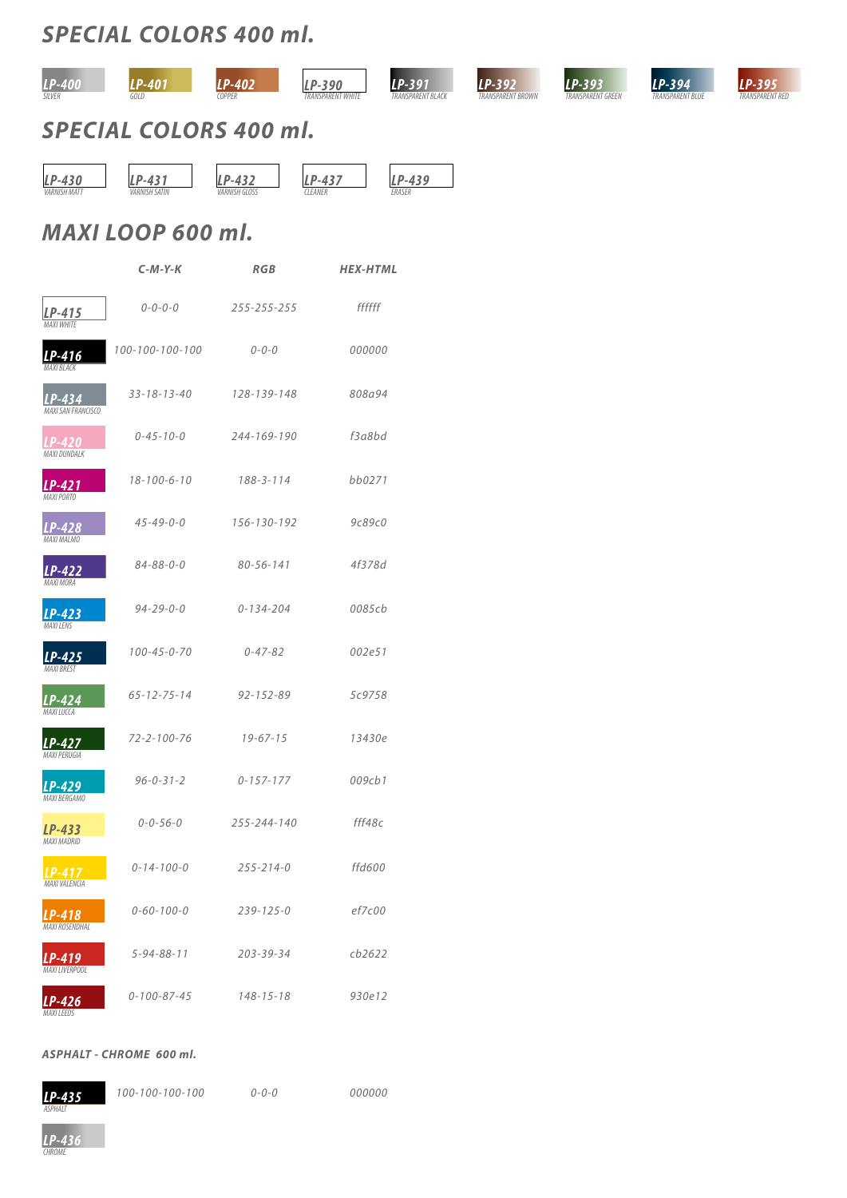



### *SPECIAL COLORS 400 ml.*

*SPECIAL COLORS 400 ml.*

### *ASPHALT - CHROME 600 ml.*

*100-100-100-100 0-0-0 000000*



|                                       | $C-M-Y-K$           | <b>RGB</b>      | <b>HEX-HTML</b>   |
|---------------------------------------|---------------------|-----------------|-------------------|
| $LP-415$<br><b>MAXI WHITE</b>         | $0 - 0 - 0 - 0$     | 255-255-255     | ffffff            |
| LP-416<br><b>MAXI BLACK</b>           | 100-100-100-100     | $0 - 0 - 0$     | 000000            |
| $LP-434$<br><b>MAXI SAN FRANCISCO</b> | $33 - 18 - 13 - 40$ | 128-139-148     | 808a94            |
| LP-420<br>MAXI DUNDALK                | $0 - 45 - 10 - 0$   | 244-169-190     | $f$ 3 $a$ 8 $b$ d |
| LP-421<br><b>MAXI PORTO</b>           | $18 - 100 - 6 - 10$ | $188 - 3 - 114$ | bb0271            |
| LP-428<br><b>MAXI MALMO</b>           | $45 - 49 - 0 - 0$   | 156-130-192     | 9c89c0            |
| <b>LP-422</b><br>MAXI MORA            | $84 - 88 - 0 - 0$   | $80 - 56 - 141$ | 4f378d            |
| <b>LP-423</b><br><b>MAXILENS</b>      | $94 - 29 - 0 - 0$   | $0 - 134 - 204$ | 0085cb            |
| <b>LP-425</b><br><b>MAXI BREST</b>    | $100 - 45 - 0 - 70$ | $0 - 47 - 82$   | 002e51            |
| <b>LP-424</b><br>IVIAAI LUCCA         | $65 - 12 - 75 - 14$ | $92 - 152 - 89$ | 5c9758            |
| LP-427<br>MAXI PERUGIA                | $72 - 2 - 100 - 76$ | $19 - 67 - 15$  | 13430e            |
| <b>LP-429</b><br>MAXI BERGAMO         | $96 - 0 - 31 - 2$   | $0 - 157 - 177$ | 009cb1            |
| LP-433<br><b>MAXI MADRID</b>          | $0 - 0 - 56 - 0$    | 255-244-140     | fff48c            |
| LP-417<br>MAXI VALENCIA               | $0 - 14 - 100 - 0$  | $255 - 214 - 0$ | ffd600            |



| $LP-418$<br><b>MAXI ROSENDHAL</b> | $0 - 60 - 100 - 0$  | $239 - 125 - 0$ | ef7c00 |  |
|-----------------------------------|---------------------|-----------------|--------|--|
| LP-419<br>MAXI LIVERPOOL          | $5 - 94 - 88 - 11$  | $203 - 39 - 34$ | cb2622 |  |
| $LP-426$<br><b>MAXILEEDS</b>      | $0 - 100 - 87 - 45$ | $148 - 15 - 18$ | 930e12 |  |

# *MAXI LOOP 600 ml.*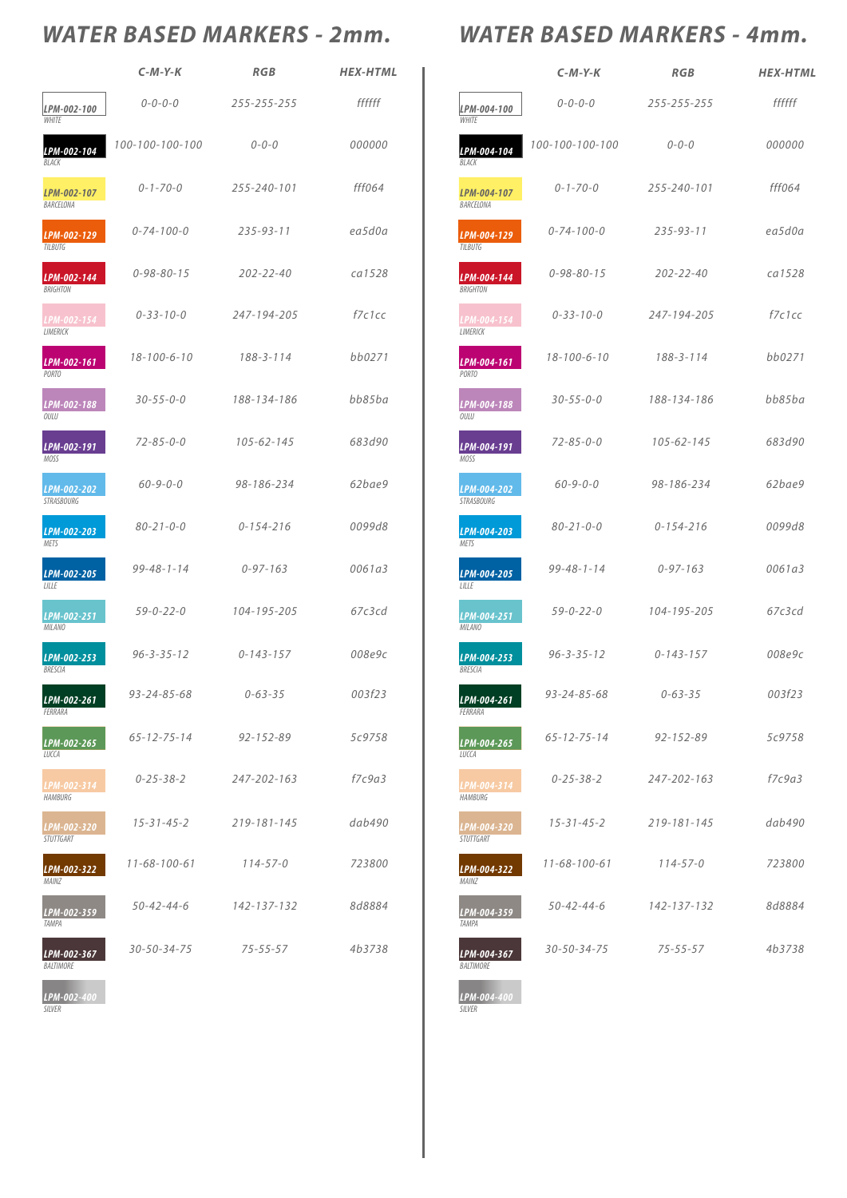|                                 | $C-M-Y-K$            | <b>RGB</b>        | <b>HEX-HTML</b> |
|---------------------------------|----------------------|-------------------|-----------------|
| LPM-002-100<br><b>WHITE</b>     | $0 - 0 - 0 - 0$      | 255-255-255       | ffffff          |
| LPM-002-104<br><b>BI ACK</b>    | 100-100-100-100      | $0 - 0 - 0$       | 000000          |
| LPM-002-107<br>BARCELONA        | $0 - 1 - 70 - 0$     | 255-240-101       | fff064          |
| LPM-002-129<br><b>TILBUTG</b>   | $0 - 74 - 100 - 0$   | $235 - 93 - 11$   | ea5d0a          |
| LPM-002-144<br><b>BRIGHTON</b>  | $0 - 98 - 80 - 15$   | $202 - 22 - 40$   | ca1528          |
| LPM-002-154<br><b>I IMFRICK</b> | $0 - 33 - 10 - 0$    | 247-194-205       | fZc1cc          |
| LPM-002-161<br>PORTO            | $18 - 100 - 6 - 10$  | $188 - 3 - 114$   | bb0271          |
| LPM-002-188<br>OULU             | $30 - 55 - 0 - 0$    | 188-134-186       | bb85ba          |
| LPM-002-191<br><b>MOSS</b>      | $72 - 85 - 0 - 0$    | $105 - 62 - 145$  | 683d90          |
| LPM-002-202<br>STRASBOURG       | $60 - 9 - 0 - 0$     | 98-186-234        | 62bae9          |
| LPM-002-203<br><b>METS</b>      | $80 - 21 - 0 - 0$    | $0 - 154 - 216$   | 0099d8          |
| LPM-002-205<br><b>LILLE</b>     | $99 - 48 - 1 - 14$   | $0 - 97 - 163$    | 0061a3          |
| LPM-002-251<br><b>MILANO</b>    | $59 - 0 - 22 - 0$    | 104-195-205       | 67c3cd          |
| LPM-002-253<br>BRESCIA          | $96 - 3 - 35 - 12$   | $0 - 143 - 157$   | 008e9c          |
| LPM-002-261<br>FFRRARA          | $93 - 24 - 85 - 68$  | $0 - 63 - 35$     | 003f23          |
| LPM-002-265<br>LUCCA            | $65 - 12 - 75 - 14$  | $92 - 152 - 89$   | 5c9758          |
| LPM-002-314<br><b>HAMBURG</b>   | $0 - 25 - 38 - 2$    | 247-202-163       | f7c9a3          |
| LPM-002-320<br>STUTTGART        | $15 - 31 - 45 - 2$   | $219 - 181 - 145$ | dab490          |
| LPM-002-322<br>MAINZ            | $11 - 68 - 100 - 61$ | $114 - 57 - 0$    | 723800          |

# WATER BASED MARKERS - 2mm. WATER BASED MARKERS - 4mm.

|                                  | $C-M-Y-K$            | <b>RGB</b>       | <b>HEX-HTML</b> |
|----------------------------------|----------------------|------------------|-----------------|
| LPM-004-100<br><b>WHITE</b>      | $0 - 0 - 0 - 0$      | 255-255-255      | ffffff          |
| LPM-004-104<br>BLACK             | 100-100-100-100      | $0 - 0 - 0$      | 000000          |
| LPM-004-107<br>BARCELONA         | $0 - 1 - 70 - 0$     | 255-240-101      | fff064          |
| LPM-004-129<br><b>TILBUTG</b>    | $0 - 74 - 100 - 0$   | $235 - 93 - 11$  | ea5d0a          |
| LPM-004-144<br><b>BRIGHTON</b>   | $0 - 98 - 80 - 15$   | $202 - 22 - 40$  | ca1528          |
| LPM-004-154<br>LIMERICK          | $0 - 33 - 10 - 0$    | 247-194-205      | fZc1cc          |
| LPM-004-161<br>PORTO             | $18 - 100 - 6 - 10$  | $188 - 3 - 114$  | bb0271          |
| LPM-004-188<br>OULU              | $30 - 55 - 0 - 0$    | 188-134-186      | bb85ba          |
| LPM-004-191<br><b>MOSS</b>       | $72 - 85 - 0 - 0$    | $105 - 62 - 145$ | 683d90          |
| LPM-004-202<br><b>STRASBOURG</b> | $60 - 9 - 0 - 0$     | 98-186-234       | 62bae9          |
| LPM-004-203<br><b>METS</b>       | $80 - 21 - 0 - 0$    | $0 - 154 - 216$  | 0099d8          |
| LPM-004-205<br>LILLE             | $99 - 48 - 1 - 14$   | $0 - 97 - 163$   | 0061a3          |
| LPM-004-251<br><b>MILANO</b>     | $59 - 0 - 22 - 0$    | 104-195-205      | 67c3cd          |
| LPM-004-253<br><b>BRESCIA</b>    | $96 - 3 - 35 - 12$   | $0 - 143 - 157$  | 008е9с          |
| LPM-004-261<br>FERRARA           | $93 - 24 - 85 - 68$  | $0 - 63 - 35$    | 003f23          |
| LPM-004-265<br>LUCCA             | $65 - 12 - 75 - 14$  | $92 - 152 - 89$  | 5c9758          |
| LPM-004-314<br><b>HAMBURG</b>    | $0 - 25 - 38 - 2$    | 247-202-163      | f7c9a3          |
| LPM-004-320<br><b>STUTTGART</b>  | $15 - 31 - 45 - 2$   | 219-181-145      | dab490          |
| LPM-004-322<br>MAINZ             | $11 - 68 - 100 - 61$ | $114 - 57 - 0$   | 723800          |
|                                  | $50 - 42 - 44 - 6$   | 142-137-132      | 8d8884          |

4b3738

| LPM-002-359<br>TAMPA            | $50 - 42 - 44 - 6$  | 142-137-132    | <i>8d8884</i> | LPM-004-359<br>TAMPA     | $50 - 42 - 44 - 6$  | 142-137-132    |
|---------------------------------|---------------------|----------------|---------------|--------------------------|---------------------|----------------|
| LPM-002-367<br><i>BALTIMORE</i> | $30 - 50 - 34 - 75$ | $75 - 55 - 57$ | 4b3738        | LPM-004-367<br>BALTIMORE | $30 - 50 - 34 - 75$ | $75 - 55 - 57$ |
| LPM-002-400<br>SILVER           |                     |                |               | LPM-004-400<br>SILVER    |                     |                |